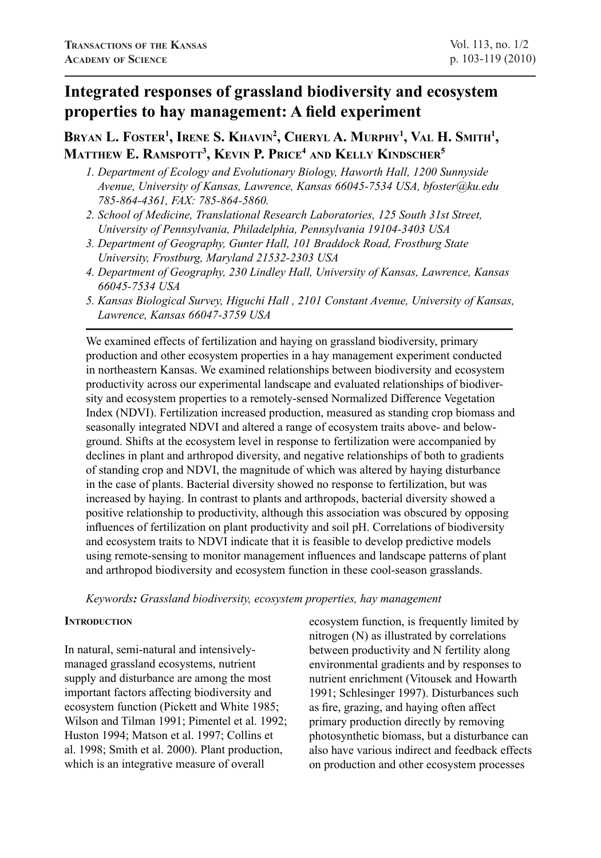# **Integrated responses of grassland biodiversity and ecosystem properties to hay management: A field experiment**

## Bryan L. Foster<sup>1</sup>, Irene S. Khavin<sup>2</sup>, Cheryl A. Murphy<sup>1</sup>, Val H. Smith<sup>1</sup>, **Matthew E. Ramspott3 , Kevin P. Price4 and Kelly Kindscher5**

- *1. Department of Ecology and Evolutionary Biology, Haworth Hall, 1200 Sunnyside Avenue, University of Kansas, Lawrence, Kansas 66045-7534 USA, bfoster@ku.edu 785-864-4361, FAX: 785-864-5860.*
- *2. School of Medicine, Translational Research Laboratories, 125 South 31st Street, University of Pennsylvania, Philadelphia, Pennsylvania 19104-3403 USA*
- *3. Department of Geography, Gunter Hall, 101 Braddock Road, Frostburg State University, Frostburg, Maryland 21532-2303 USA*
- *4. Department of Geography, 230 Lindley Hall, University of Kansas, Lawrence, Kansas 66045-7534 USA*
- *5. Kansas Biological Survey, Higuchi Hall , 2101 Constant Avenue, University of Kansas, Lawrence, Kansas 66047-3759 USA*

We examined effects of fertilization and haying on grassland biodiversity, primary production and other ecosystem properties in a hay management experiment conducted in northeastern Kansas. We examined relationships between biodiversity and ecosystem productivity across our experimental landscape and evaluated relationships of biodiversity and ecosystem properties to a remotely-sensed Normalized Difference Vegetation Index (NDVI). Fertilization increased production, measured as standing crop biomass and seasonally integrated NDVI and altered a range of ecosystem traits above- and belowground. Shifts at the ecosystem level in response to fertilization were accompanied by declines in plant and arthropod diversity, and negative relationships of both to gradients of standing crop and NDVI, the magnitude of which was altered by haying disturbance in the case of plants. Bacterial diversity showed no response to fertilization, but was increased by haying. In contrast to plants and arthropods, bacterial diversity showed a positive relationship to productivity, although this association was obscured by opposing influences of fertilization on plant productivity and soil pH. Correlations of biodiversity and ecosystem traits to NDVI indicate that it is feasible to develop predictive models using remote-sensing to monitor management influences and landscape patterns of plant and arthropod biodiversity and ecosystem function in these cool-season grasslands.

*Keywords: Grassland biodiversity, ecosystem properties, hay management*

## **INTRODUCTION**

In natural, semi-natural and intensivelymanaged grassland ecosystems, nutrient supply and disturbance are among the most important factors affecting biodiversity and ecosystem function (Pickett and White 1985; Wilson and Tilman 1991; Pimentel et al. 1992; Huston 1994; Matson et al. 1997; Collins et al. 1998; Smith et al. 2000). Plant production, which is an integrative measure of overall

ecosystem function, is frequently limited by nitrogen (N) as illustrated by correlations between productivity and N fertility along environmental gradients and by responses to nutrient enrichment (Vitousek and Howarth 1991; Schlesinger 1997). Disturbances such as fire, grazing, and haying often affect primary production directly by removing photosynthetic biomass, but a disturbance can also have various indirect and feedback effects on production and other ecosystem processes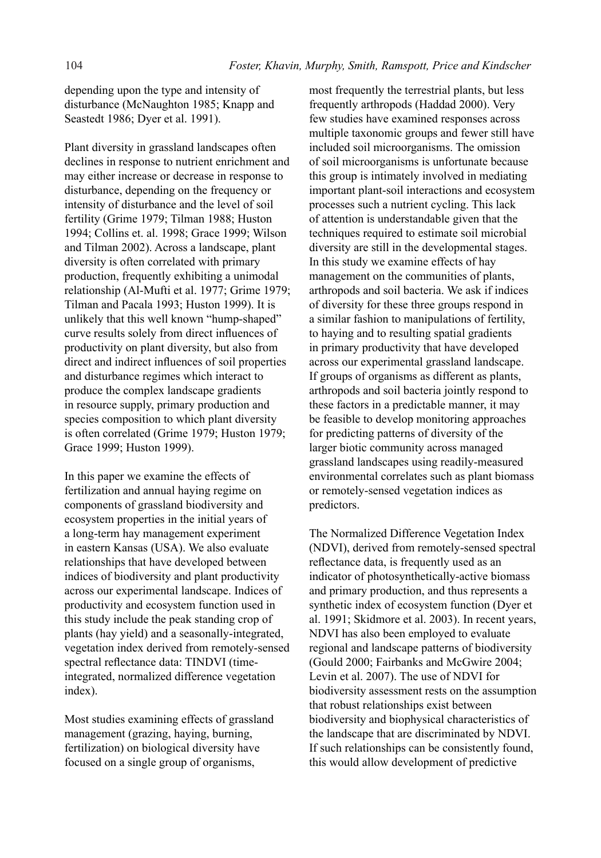depending upon the type and intensity of disturbance (McNaughton 1985; Knapp and Seastedt 1986; Dyer et al. 1991).

Plant diversity in grassland landscapes often declines in response to nutrient enrichment and may either increase or decrease in response to disturbance, depending on the frequency or intensity of disturbance and the level of soil fertility (Grime 1979; Tilman 1988; Huston 1994; Collins et. al. 1998; Grace 1999; Wilson and Tilman 2002). Across a landscape, plant diversity is often correlated with primary production, frequently exhibiting a unimodal relationship (Al-Mufti et al. 1977; Grime 1979; Tilman and Pacala 1993; Huston 1999). It is unlikely that this well known "hump-shaped" curve results solely from direct influences of productivity on plant diversity, but also from direct and indirect influences of soil properties and disturbance regimes which interact to produce the complex landscape gradients in resource supply, primary production and species composition to which plant diversity is often correlated (Grime 1979; Huston 1979; Grace 1999; Huston 1999).

In this paper we examine the effects of fertilization and annual haying regime on components of grassland biodiversity and ecosystem properties in the initial years of a long-term hay management experiment in eastern Kansas (USA). We also evaluate relationships that have developed between indices of biodiversity and plant productivity across our experimental landscape. Indices of productivity and ecosystem function used in this study include the peak standing crop of plants (hay yield) and a seasonally-integrated, vegetation index derived from remotely-sensed spectral reflectance data: TINDVI (timeintegrated, normalized difference vegetation index).

Most studies examining effects of grassland management (grazing, haying, burning, fertilization) on biological diversity have focused on a single group of organisms,

most frequently the terrestrial plants, but less frequently arthropods (Haddad 2000). Very few studies have examined responses across multiple taxonomic groups and fewer still have included soil microorganisms. The omission of soil microorganisms is unfortunate because this group is intimately involved in mediating important plant-soil interactions and ecosystem processes such a nutrient cycling. This lack of attention is understandable given that the techniques required to estimate soil microbial diversity are still in the developmental stages. In this study we examine effects of hay management on the communities of plants, arthropods and soil bacteria. We ask if indices of diversity for these three groups respond in a similar fashion to manipulations of fertility, to haying and to resulting spatial gradients in primary productivity that have developed across our experimental grassland landscape. If groups of organisms as different as plants, arthropods and soil bacteria jointly respond to these factors in a predictable manner, it may be feasible to develop monitoring approaches for predicting patterns of diversity of the larger biotic community across managed grassland landscapes using readily-measured environmental correlates such as plant biomass or remotely-sensed vegetation indices as predictors.

The Normalized Difference Vegetation Index (NDVI), derived from remotely-sensed spectral reflectance data, is frequently used as an indicator of photosynthetically-active biomass and primary production, and thus represents a synthetic index of ecosystem function (Dyer et al. 1991; Skidmore et al. 2003). In recent years, NDVI has also been employed to evaluate regional and landscape patterns of biodiversity (Gould 2000; Fairbanks and McGwire 2004; Levin et al. 2007). The use of NDVI for biodiversity assessment rests on the assumption that robust relationships exist between biodiversity and biophysical characteristics of the landscape that are discriminated by NDVI. If such relationships can be consistently found, this would allow development of predictive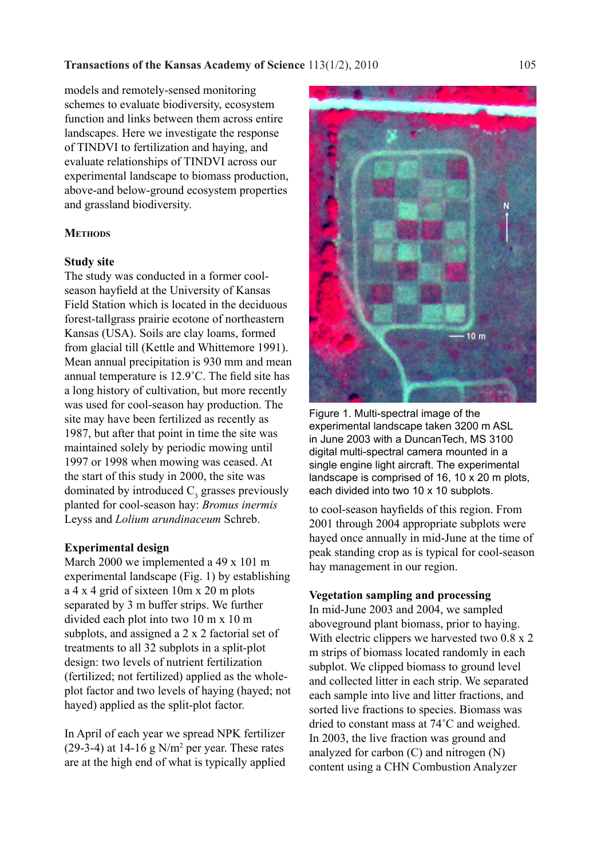models and remotely-sensed monitoring schemes to evaluate biodiversity, ecosystem function and links between them across entire landscapes. Here we investigate the response of TINDVI to fertilization and haying, and evaluate relationships of TINDVI across our experimental landscape to biomass production, above-and below-ground ecosystem properties and grassland biodiversity.

## **METHODS**

## **Study site**

The study was conducted in a former coolseason hayfield at the University of Kansas Field Station which is located in the deciduous forest-tallgrass prairie ecotone of northeastern Kansas (USA). Soils are clay loams, formed from glacial till (Kettle and Whittemore 1991). Mean annual precipitation is 930 mm and mean annual temperature is 12.9˚C. The field site has a long history of cultivation, but more recently was used for cool-season hay production. The site may have been fertilized as recently as 1987, but after that point in time the site was maintained solely by periodic mowing until 1997 or 1998 when mowing was ceased. At the start of this study in 2000, the site was dominated by introduced  $C_3$  grasses previously planted for cool-season hay: *Bromus inermis*  Leyss and *Lolium arundinaceum* Schreb.

## **Experimental design**

March 2000 we implemented a 49 x 101 m experimental landscape (Fig. 1) by establishing a 4 x 4 grid of sixteen 10m x 20 m plots separated by 3 m buffer strips. We further divided each plot into two 10 m x 10 m subplots, and assigned a 2 x 2 factorial set of treatments to all 32 subplots in a split-plot design: two levels of nutrient fertilization (fertilized; not fertilized) applied as the wholeplot factor and two levels of haying (hayed; not hayed) applied as the split-plot factor.

In April of each year we spread NPK fertilizer  $(29-3-4)$  at 14-16 g N/m<sup>2</sup> per year. These rates are at the high end of what is typically applied



Figure 1. Multi-spectral image of the experimental landscape taken 3200 m ASL in June 2003 with a DuncanTech, MS 3100 digital multi-spectral camera mounted in a single engine light aircraft. The experimental landscape is comprised of 16, 10 x 20 m plots, each divided into two 10 x 10 subplots.

to cool-season hayfields of this region. From 2001 through 2004 appropriate subplots were hayed once annually in mid-June at the time of peak standing crop as is typical for cool-season hay management in our region.

## **Vegetation sampling and processing**

In mid-June 2003 and 2004, we sampled aboveground plant biomass, prior to haying. With electric clippers we harvested two  $0.8 \times 2$ m strips of biomass located randomly in each subplot. We clipped biomass to ground level and collected litter in each strip. We separated each sample into live and litter fractions, and sorted live fractions to species. Biomass was dried to constant mass at 74˚C and weighed. In 2003, the live fraction was ground and analyzed for carbon (C) and nitrogen (N) content using a CHN Combustion Analyzer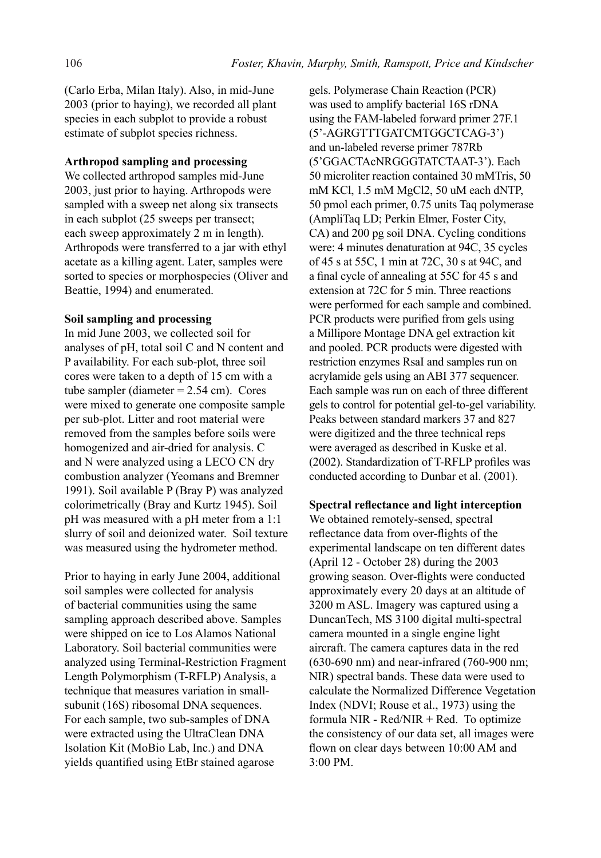(Carlo Erba, Milan Italy). Also, in mid-June 2003 (prior to haying), we recorded all plant species in each subplot to provide a robust estimate of subplot species richness.

## **Arthropod sampling and processing**

We collected arthropod samples mid-June 2003, just prior to haying. Arthropods were sampled with a sweep net along six transects in each subplot (25 sweeps per transect; each sweep approximately 2 m in length). Arthropods were transferred to a jar with ethyl acetate as a killing agent. Later, samples were sorted to species or morphospecies (Oliver and Beattie, 1994) and enumerated.

## **Soil sampling and processing**

In mid June 2003, we collected soil for analyses of pH, total soil C and N content and P availability. For each sub-plot, three soil cores were taken to a depth of 15 cm with a tube sampler (diameter  $= 2.54$  cm). Cores were mixed to generate one composite sample per sub-plot. Litter and root material were removed from the samples before soils were homogenized and air-dried for analysis. C and N were analyzed using a LECO CN dry combustion analyzer (Yeomans and Bremner 1991). Soil available P (Bray P) was analyzed colorimetrically (Bray and Kurtz 1945). Soil pH was measured with a pH meter from a 1:1 slurry of soil and deionized water. Soil texture was measured using the hydrometer method.

Prior to haying in early June 2004, additional soil samples were collected for analysis of bacterial communities using the same sampling approach described above. Samples were shipped on ice to Los Alamos National Laboratory. Soil bacterial communities were analyzed using Terminal-Restriction Fragment Length Polymorphism (T-RFLP) Analysis, a technique that measures variation in smallsubunit (16S) ribosomal DNA sequences. For each sample, two sub-samples of DNA were extracted using the UltraClean DNA Isolation Kit (MoBio Lab, Inc.) and DNA yields quantified using EtBr stained agarose

gels. Polymerase Chain Reaction (PCR) was used to amplify bacterial 16S rDNA using the FAM-labeled forward primer 27F.1 (5'-AGRGTTTGATCMTGGCTCAG-3') and un-labeled reverse primer 787Rb (5'GGACTAcNRGGGTATCTAAT-3'). Each 50 microliter reaction contained 30 mMTris, 50 mM KCl, 1.5 mM MgCl2, 50 uM each dNTP, 50 pmol each primer, 0.75 units Taq polymerase (AmpliTaq LD; Perkin Elmer, Foster City, CA) and 200 pg soil DNA. Cycling conditions were: 4 minutes denaturation at 94C, 35 cycles of 45 s at 55C, 1 min at 72C, 30 s at 94C, and a final cycle of annealing at 55C for 45 s and extension at 72C for 5 min. Three reactions were performed for each sample and combined. PCR products were purified from gels using a Millipore Montage DNA gel extraction kit and pooled. PCR products were digested with restriction enzymes RsaI and samples run on acrylamide gels using an ABI 377 sequencer. Each sample was run on each of three different gels to control for potential gel-to-gel variability. Peaks between standard markers 37 and 827 were digitized and the three technical reps were averaged as described in Kuske et al. (2002). Standardization of T-RFLP profiles was conducted according to Dunbar et al. (2001).

**Spectral reflectance and light interception** We obtained remotely-sensed, spectral reflectance data from over-flights of the experimental landscape on ten different dates (April 12 - October 28) during the 2003 growing season. Over-flights were conducted approximately every 20 days at an altitude of 3200 m ASL. Imagery was captured using a DuncanTech, MS 3100 digital multi-spectral camera mounted in a single engine light aircraft. The camera captures data in the red (630-690 nm) and near-infrared (760-900 nm; NIR) spectral bands. These data were used to calculate the Normalized Difference Vegetation Index (NDVI; Rouse et al., 1973) using the formula NIR - Red/NIR + Red. To optimize the consistency of our data set, all images were flown on clear days between 10:00 AM and 3:00 PM.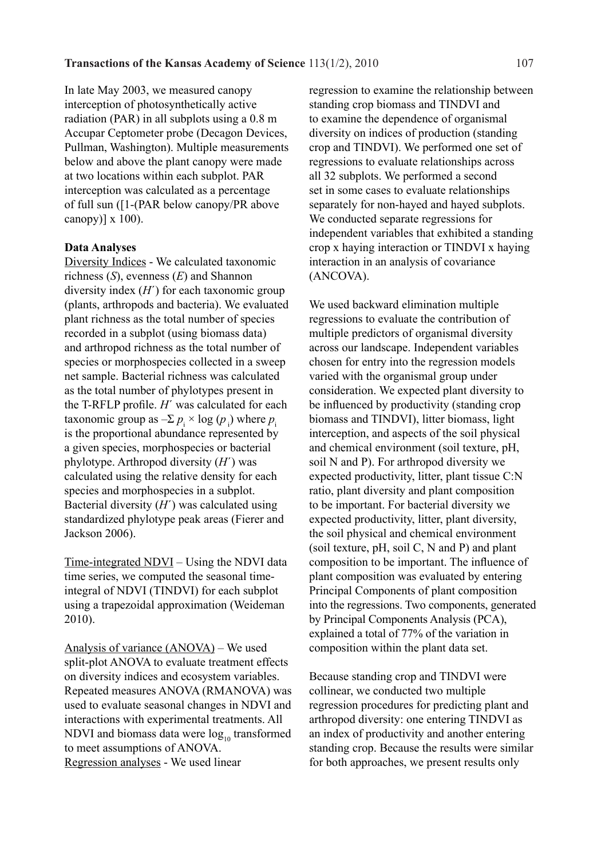In late May 2003, we measured canopy interception of photosynthetically active radiation (PAR) in all subplots using a 0.8 m Accupar Ceptometer probe (Decagon Devices, Pullman, Washington). Multiple measurements below and above the plant canopy were made at two locations within each subplot. PAR interception was calculated as a percentage of full sun ([1-(PAR below canopy/PR above canopy)]  $x 100$ ).

#### **Data Analyses**

Diversity Indices - We calculated taxonomic richness (*S*), evenness (*E*) and Shannon diversity index (*H*΄) for each taxonomic group (plants, arthropods and bacteria). We evaluated plant richness as the total number of species recorded in a subplot (using biomass data) and arthropod richness as the total number of species or morphospecies collected in a sweep net sample. Bacterial richness was calculated as the total number of phylotypes present in the T-RFLP profile. *H*΄ was calculated for each taxonomic group as  $-\Sigma p_i \times \log(p_i)$  where  $p_i$ is the proportional abundance represented by a given species, morphospecies or bacterial phylotype. Arthropod diversity (*H*΄) was calculated using the relative density for each species and morphospecies in a subplot. Bacterial diversity (*H*΄) was calculated using standardized phylotype peak areas (Fierer and Jackson 2006).

Time-integrated NDVI – Using the NDVI data time series, we computed the seasonal timeintegral of NDVI (TINDVI) for each subplot using a trapezoidal approximation (Weideman 2010).

Analysis of variance (ANOVA) – We used split-plot ANOVA to evaluate treatment effects on diversity indices and ecosystem variables. Repeated measures ANOVA (RMANOVA) was used to evaluate seasonal changes in NDVI and interactions with experimental treatments. All NDVI and biomass data were  $log_{10}$  transformed to meet assumptions of ANOVA. Regression analyses - We used linear

regression to examine the relationship between standing crop biomass and TINDVI and to examine the dependence of organismal diversity on indices of production (standing crop and TINDVI). We performed one set of regressions to evaluate relationships across all 32 subplots. We performed a second set in some cases to evaluate relationships separately for non-hayed and hayed subplots. We conducted separate regressions for independent variables that exhibited a standing crop x haying interaction or TINDVI x haying interaction in an analysis of covariance (ANCOVA).

We used backward elimination multiple regressions to evaluate the contribution of multiple predictors of organismal diversity across our landscape. Independent variables chosen for entry into the regression models varied with the organismal group under consideration. We expected plant diversity to be influenced by productivity (standing crop biomass and TINDVI), litter biomass, light interception, and aspects of the soil physical and chemical environment (soil texture, pH, soil N and P). For arthropod diversity we expected productivity, litter, plant tissue C:N ratio, plant diversity and plant composition to be important. For bacterial diversity we expected productivity, litter, plant diversity, the soil physical and chemical environment (soil texture, pH, soil C, N and P) and plant composition to be important. The influence of plant composition was evaluated by entering Principal Components of plant composition into the regressions. Two components, generated by Principal Components Analysis (PCA), explained a total of 77% of the variation in composition within the plant data set.

Because standing crop and TINDVI were collinear, we conducted two multiple regression procedures for predicting plant and arthropod diversity: one entering TINDVI as an index of productivity and another entering standing crop. Because the results were similar for both approaches, we present results only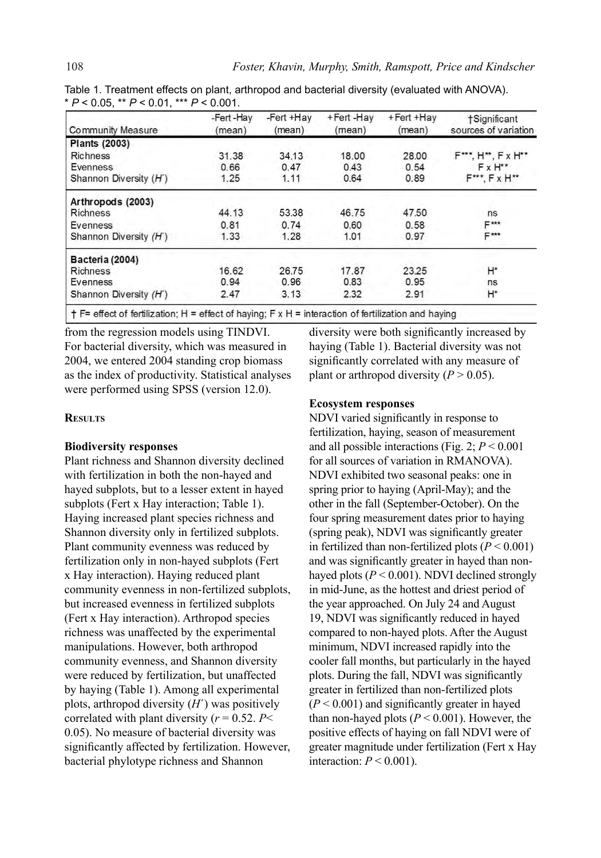| Community Measure      | -Fert-Hay<br>(mean) | -Fert +Hay<br>(mean) | +Fert-Hav<br>(mean) | +Fert +Hay<br>(mean) | †Significant<br>sources of variation |
|------------------------|---------------------|----------------------|---------------------|----------------------|--------------------------------------|
| <b>Plants (2003)</b>   |                     |                      |                     |                      |                                      |
| <b>Richness</b>        | 31.38               | 34.13                | 18.00               | 28.00                | F***, H**, F x H**                   |
| <b>Evenness</b>        | 0.66                | 0.47                 | 0.43                | 0.54                 | $FxH**$                              |
| Shannon Diversity (H') | 1.25                | 1.11                 | 0.64                | 0.89                 | $F***$ , $Fx$ $H**$                  |
| Arthropods (2003)      |                     |                      |                     |                      |                                      |
| Richness               | 44.13               | 53.38                | 46.75               | 47.50                | ns                                   |
| Evenness               | 0.81                | 0.74                 | 0.60                | 0.58                 | $F***$                               |
| Shannon Diversity (H') | 1.33                | 1.28                 | 1.01                | 0.97                 | E***                                 |
| Bacteria (2004)        |                     |                      |                     |                      |                                      |
| <b>Richness</b>        | 16.62               | 26.75                | 17.87               | 23.25                | $H^*$                                |
| Evenness               | 0.94                | 0.96                 | 0.83                | 0.95                 | ns                                   |
| Shannon Diversity (H') | 2.47                | 3.13                 | 2.32                | 2.91                 | Н*                                   |

Table 1. Treatment effects on plant, arthropod and bacterial diversity (evaluated with ANOVA). \* *P* < 0.05, \*\* *P* < 0.01, \*\*\* *P* < 0.001.

 $+$  F= effect of fertilization; H = effect of haying; F x H = interaction of fertilization and haying

from the regression models using TINDVI. For bacterial diversity, which was measured in 2004, we entered 2004 standing crop biomass as the index of productivity. Statistical analyses were performed using SPSS (version 12.0).

## **Results**

#### **Biodiversity responses**

Plant richness and Shannon diversity declined with fertilization in both the non-hayed and hayed subplots, but to a lesser extent in hayed subplots (Fert x Hay interaction; Table 1). Haying increased plant species richness and Shannon diversity only in fertilized subplots. Plant community evenness was reduced by fertilization only in non-hayed subplots (Fert x Hay interaction). Haying reduced plant community evenness in non-fertilized subplots, but increased evenness in fertilized subplots (Fert x Hay interaction). Arthropod species richness was unaffected by the experimental manipulations. However, both arthropod community evenness, and Shannon diversity were reduced by fertilization, but unaffected by haying (Table 1). Among all experimental plots, arthropod diversity (*H*´) was positively correlated with plant diversity  $(r = 0.52, P <$ 0.05). No measure of bacterial diversity was significantly affected by fertilization. However, bacterial phylotype richness and Shannon

diversity were both significantly increased by haying (Table 1). Bacterial diversity was not significantly correlated with any measure of plant or arthropod diversity  $(P > 0.05)$ .

## **Ecosystem responses**

NDVI varied significantly in response to fertilization, haying, season of measurement and all possible interactions (Fig. 2; *P* < 0.001 for all sources of variation in RMANOVA). NDVI exhibited two seasonal peaks: one in spring prior to haying (April-May); and the other in the fall (September-October). On the four spring measurement dates prior to haying (spring peak), NDVI was significantly greater in fertilized than non-fertilized plots  $(P < 0.001)$ and was significantly greater in hayed than nonhayed plots  $(P < 0.001)$ . NDVI declined strongly in mid-June, as the hottest and driest period of the year approached. On July 24 and August 19, NDVI was significantly reduced in hayed compared to non-hayed plots. After the August minimum, NDVI increased rapidly into the cooler fall months, but particularly in the hayed plots. During the fall, NDVI was significantly greater in fertilized than non-fertilized plots (*P* < 0.001) and significantly greater in hayed than non-hayed plots ( $P < 0.001$ ). However, the positive effects of haying on fall NDVI were of greater magnitude under fertilization (Fert x Hay interaction:  $P < 0.001$ ).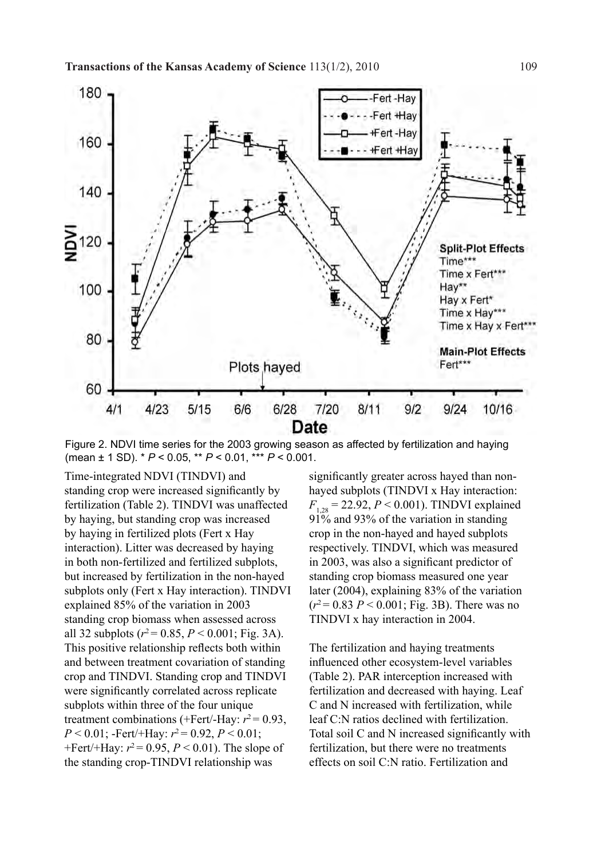

Figure 2. NDVI time series for the 2003 growing season as affected by fertilization and haying (mean ± 1 SD). \* *P* < 0.05, \*\* *P* < 0.01, \*\*\* *P* < 0.001.

Time-integrated NDVI (TINDVI) and standing crop were increased significantly by fertilization (Table 2). TINDVI was unaffected by haying, but standing crop was increased by haying in fertilized plots (Fert x Hay interaction). Litter was decreased by haying in both non-fertilized and fertilized subplots, but increased by fertilization in the non-hayed subplots only (Fert x Hay interaction). TINDVI explained 85% of the variation in 2003 standing crop biomass when assessed across all 32 subplots ( $r^2$  = 0.85,  $P$  < 0.001; Fig. 3A). This positive relationship reflects both within and between treatment covariation of standing crop and TINDVI. Standing crop and TINDVI were significantly correlated across replicate subplots within three of the four unique treatment combinations (+Fert/-Hay:  $r^2$  = 0.93, *P* < 0.01; -Fert/+Hay:  $r^2$  = 0.92, *P* < 0.01; +Fert/+Hay:  $r^2$  = 0.95,  $P$  < 0.01). The slope of the standing crop-TINDVI relationship was

significantly greater across hayed than nonhayed subplots (TINDVI x Hay interaction:  $F_{1,28} = 22.92, P \le 0.001$ . TINDVI explained 91% and 93% of the variation in standing crop in the non-hayed and hayed subplots respectively. TINDVI, which was measured in 2003, was also a significant predictor of standing crop biomass measured one year later (2004), explaining 83% of the variation  $(r^2 = 0.83 \, P \le 0.001$ ; Fig. 3B). There was no TINDVI x hay interaction in 2004.

The fertilization and haying treatments influenced other ecosystem-level variables (Table 2). PAR interception increased with fertilization and decreased with haying. Leaf C and N increased with fertilization, while leaf C:N ratios declined with fertilization. Total soil C and N increased significantly with fertilization, but there were no treatments effects on soil C:N ratio. Fertilization and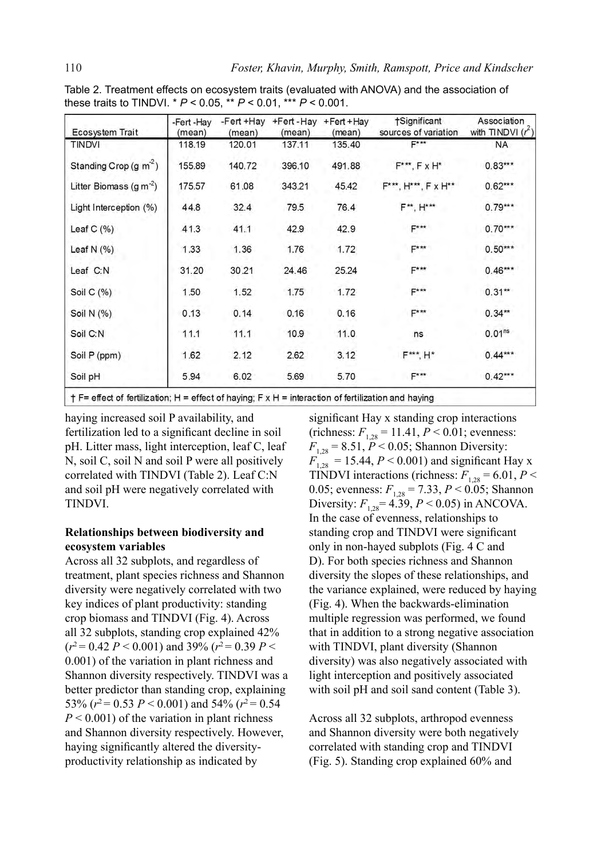| <b>Ecosystem Trait</b>            | -Fert -Hay<br>(mean) | -Fert +Hay<br>(mean) | +Fert-Hay<br>(mean) | +Fert + Hay<br>(mean) | †Significant<br>sources of variation | Association<br>with TINDVI $(r^2)$ |
|-----------------------------------|----------------------|----------------------|---------------------|-----------------------|--------------------------------------|------------------------------------|
| <b>TINDVI</b>                     | 118.19               | 120.01               | 137.11              | 135.40                | $F***$                               | <b>NA</b>                          |
| Standing Crop (g m <sup>2</sup> ) | 155.89               | 140.72               | 396.10              | 491.88                | $F***$ , $FXH*$                      | $0.83***$                          |
| Litter Biomass $(q m-2)$          | 175.57               | 61.08                | 343.21              | 45.42                 | F***, H***, F x H**                  | $0.62***$                          |
| Light Interception (%)            | 44.8                 | 32.4                 | 79.5                | 76.4                  | F**. H***                            | $0.79***$                          |
| Leaf $C(% )$                      | 41.3                 | 41.1                 | 42.9                | 42.9                  | $F***$                               | $0.70***$                          |
| Leaf N $(% )$                     | 1.33                 | 1.36                 | 1.76                | 1.72                  | F***                                 | $0.50***$                          |
| Leaf C:N                          | 31.20                | 30.21                | 24.46               | 25.24                 | F***                                 | $0.46***$                          |
| Soil C $(% )$                     | 1.50                 | 1.52                 | 1.75                | 1.72                  | $F***$                               | $0.31**$                           |
| Soil N (%)                        | 0.13                 | 0.14                 | 0.16                | 0.16                  | $F***$                               | $0.34**$                           |
| Soil C:N                          | 11.1                 | 11.1                 | 10.9                | 11.0                  | ns                                   | 0.01 <sup>ns</sup>                 |
| Soil P (ppm)                      | 1.62                 | 2.12                 | 2.62                | 3.12                  | F*** H*                              | $0.44***$                          |
| Soil pH                           | 5.94                 | 6.02                 | 5.69                | 5.70                  | F***                                 | $0.42***$                          |

Table 2. Treatment effects on ecosystem traits (evaluated with ANOVA) and the association of these traits to TINDVI. \* *P* < 0.05, \*\* *P* < 0.01, \*\*\* *P* < 0.001.

 $+$  F= effect of fertilization; H = effect of haying; F x H = interaction of fertilization and haying

haying increased soil P availability, and fertilization led to a significant decline in soil pH. Litter mass, light interception, leaf C, leaf N, soil C, soil N and soil P were all positively correlated with TINDVI (Table 2). Leaf C:N and soil pH were negatively correlated with TINDVI.

## **Relationships between biodiversity and ecosystem variables**

Across all 32 subplots, and regardless of treatment, plant species richness and Shannon diversity were negatively correlated with two key indices of plant productivity: standing crop biomass and TINDVI (Fig. 4). Across all 32 subplots, standing crop explained 42%  $(r^2 = 0.42 \, P \leq 0.001)$  and 39%  $(r^2 = 0.39 \, P \leq 0.001)$ 0.001) of the variation in plant richness and Shannon diversity respectively. TINDVI was a better predictor than standing crop, explaining 53%  $(r^2 = 0.53 \ P \le 0.001)$  and 54%  $(r^2 = 0.54$  $P < 0.001$ ) of the variation in plant richness and Shannon diversity respectively. However, haying significantly altered the diversityproductivity relationship as indicated by

significant Hay x standing crop interactions  $(richness: F_{1,28} = 11.41, P < 0.01; evenness:$  $F_{1,28} = 8.51, \overline{P} < 0.05$ ; Shannon Diversity:  $F_{1,28}$  = 15.44, *P* < 0.001) and significant Hay x TINDVI interactions (richness:  $F_{1,28} = 6.01, P <$ 0.05; evenness:  $F_{1,28} = 7.33$ ,  $P < 0.05$ ; Shannon Diversity:  $F_{1,28} = 4.39$ ,  $P < 0.05$ ) in ANCOVA. In the case of evenness, relationships to standing crop and TINDVI were significant only in non-hayed subplots (Fig. 4 C and D). For both species richness and Shannon diversity the slopes of these relationships, and the variance explained, were reduced by haying (Fig. 4). When the backwards-elimination multiple regression was performed, we found that in addition to a strong negative association with TINDVI, plant diversity (Shannon diversity) was also negatively associated with light interception and positively associated with soil pH and soil sand content (Table 3).

Across all 32 subplots, arthropod evenness and Shannon diversity were both negatively correlated with standing crop and TINDVI (Fig. 5). Standing crop explained 60% and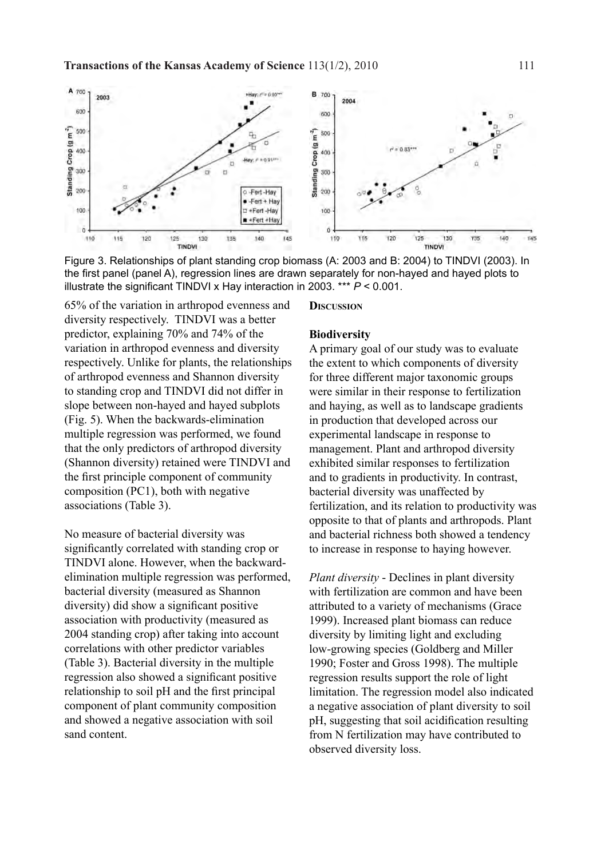

Figure 3. Relationships of plant standing crop biomass (A: 2003 and B: 2004) to TINDVI (2003). In the first panel (panel A), regression lines are drawn separately for non-hayed and hayed plots to illustrate the significant TINDVI x Hay interaction in 2003. \*\*\* *P* < 0.001.

65% of the variation in arthropod evenness and diversity respectively. TINDVI was a better predictor, explaining 70% and 74% of the variation in arthropod evenness and diversity respectively. Unlike for plants, the relationships of arthropod evenness and Shannon diversity to standing crop and TINDVI did not differ in slope between non-hayed and hayed subplots (Fig. 5). When the backwards-elimination multiple regression was performed, we found that the only predictors of arthropod diversity (Shannon diversity) retained were TINDVI and the first principle component of community composition (PC1), both with negative associations (Table 3).

No measure of bacterial diversity was significantly correlated with standing crop or TINDVI alone. However, when the backwardelimination multiple regression was performed, bacterial diversity (measured as Shannon diversity) did show a significant positive association with productivity (measured as 2004 standing crop) after taking into account correlations with other predictor variables (Table 3). Bacterial diversity in the multiple regression also showed a significant positive relationship to soil pH and the first principal component of plant community composition and showed a negative association with soil sand content.

**Discussion**

#### **Biodiversity**

A primary goal of our study was to evaluate the extent to which components of diversity for three different major taxonomic groups were similar in their response to fertilization and haying, as well as to landscape gradients in production that developed across our experimental landscape in response to management. Plant and arthropod diversity exhibited similar responses to fertilization and to gradients in productivity. In contrast, bacterial diversity was unaffected by fertilization, and its relation to productivity was opposite to that of plants and arthropods. Plant and bacterial richness both showed a tendency to increase in response to haying however.

*Plant diversity* - Declines in plant diversity with fertilization are common and have been attributed to a variety of mechanisms (Grace 1999). Increased plant biomass can reduce diversity by limiting light and excluding low-growing species (Goldberg and Miller 1990; Foster and Gross 1998). The multiple regression results support the role of light limitation. The regression model also indicated a negative association of plant diversity to soil pH, suggesting that soil acidification resulting from N fertilization may have contributed to observed diversity loss.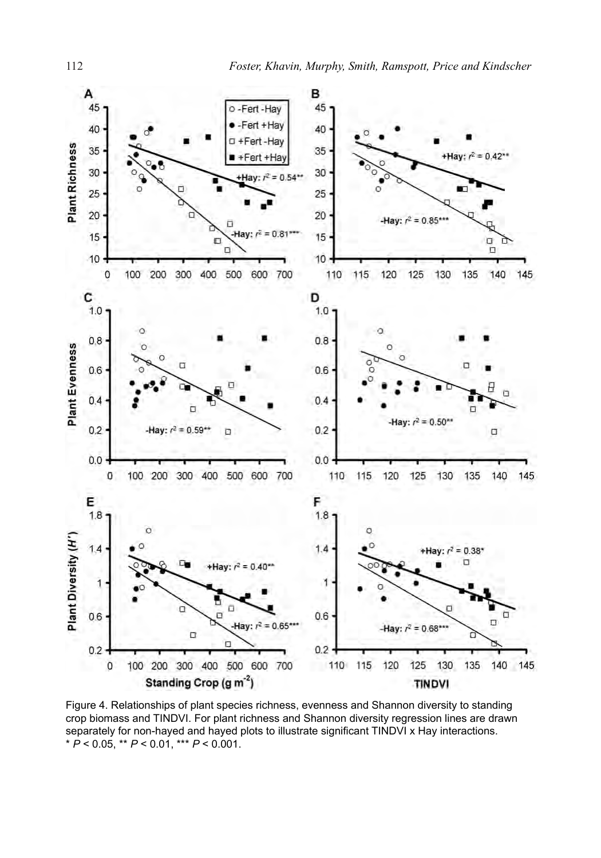

Figure 4. Relationships of plant species richness, evenness and Shannon diversity to standing crop biomass and TINDVI. For plant richness and Shannon diversity regression lines are drawn separately for non-hayed and hayed plots to illustrate significant TINDVI x Hay interactions. \* *P* < 0.05, \*\* *P* < 0.01, \*\*\* *P* < 0.001.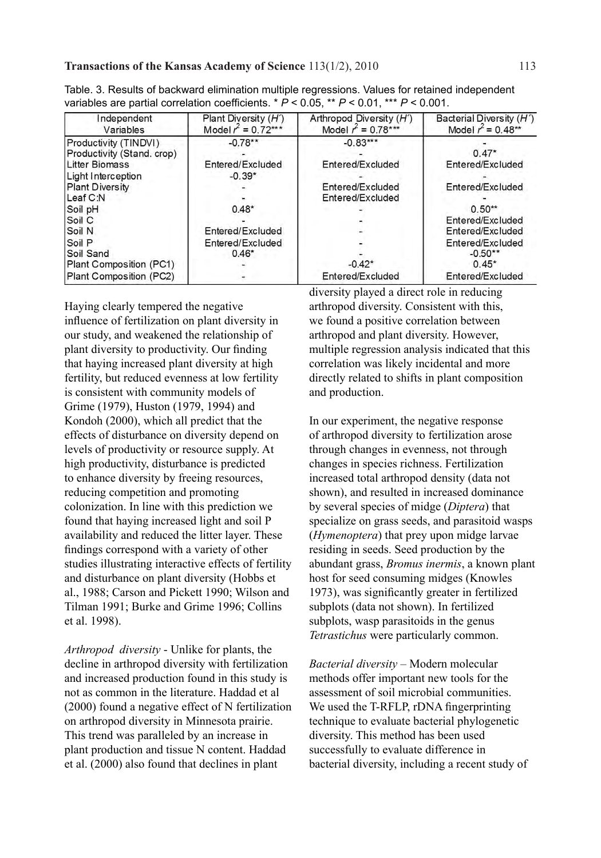### **Transactions of the Kansas Academy of Science** 113(1/2), 2010 113

| Independent<br>Variables   | Plant Diversity $(H')$<br>Model $r^2 = 0.72***$ | Arthropod Diversity (H')<br>Model $r^2 = 0.78***$ | Bacterial Diversity (H')<br>Model $r^2 = 0.48**$ |
|----------------------------|-------------------------------------------------|---------------------------------------------------|--------------------------------------------------|
| Productivity (TINDVI)      | $-0.78**$                                       | $-0.83***$                                        |                                                  |
| Productivity (Stand, crop) |                                                 |                                                   | $0.47*$                                          |
| <b>Litter Biomass</b>      | Entered/Excluded                                | Entered/Excluded                                  | Entered/Excluded                                 |
| Light Interception         | $-0.39*$                                        |                                                   |                                                  |
| <b>Plant Diversity</b>     |                                                 | Entered/Excluded                                  | Entered/Excluded                                 |
| Leaf C:N                   |                                                 | Entered/Excluded                                  |                                                  |
| Soil pH                    | $0.48*$                                         |                                                   | $0.50**$                                         |
| Soil C                     |                                                 |                                                   | Entered/Excluded                                 |
| Soil N                     | Entered/Excluded                                |                                                   | Entered/Excluded                                 |
| Soil P                     | Entered/Excluded                                |                                                   | Entered/Excluded                                 |
| Soil Sand                  | $0.46*$                                         |                                                   | $-0.50**$                                        |
| Plant Composition (PC1)    |                                                 | $-0.42*$                                          | $0.45*$                                          |
| Plant Composition (PC2)    |                                                 | Entered/Excluded                                  | Entered/Excluded                                 |

| Table. 3. Results of backward elimination multiple regressions. Values for retained independent  |  |  |
|--------------------------------------------------------------------------------------------------|--|--|
| variables are partial correlation coefficients. * $P < 0.05$ , ** $P < 0.01$ , *** $P < 0.001$ . |  |  |

Haying clearly tempered the negative influence of fertilization on plant diversity in our study, and weakened the relationship of plant diversity to productivity. Our finding that haying increased plant diversity at high fertility, but reduced evenness at low fertility is consistent with community models of Grime (1979), Huston (1979, 1994) and Kondoh (2000), which all predict that the effects of disturbance on diversity depend on levels of productivity or resource supply. At high productivity, disturbance is predicted to enhance diversity by freeing resources, reducing competition and promoting colonization. In line with this prediction we found that haying increased light and soil P availability and reduced the litter layer. These findings correspond with a variety of other studies illustrating interactive effects of fertility and disturbance on plant diversity (Hobbs et al., 1988; Carson and Pickett 1990; Wilson and Tilman 1991; Burke and Grime 1996; Collins et al. 1998).

*Arthropod diversity* - Unlike for plants, the decline in arthropod diversity with fertilization and increased production found in this study is not as common in the literature. Haddad et al (2000) found a negative effect of N fertilization on arthropod diversity in Minnesota prairie. This trend was paralleled by an increase in plant production and tissue N content. Haddad et al. (2000) also found that declines in plant

diversity played a direct role in reducing arthropod diversity. Consistent with this, we found a positive correlation between arthropod and plant diversity. However, multiple regression analysis indicated that this correlation was likely incidental and more directly related to shifts in plant composition and production.

In our experiment, the negative response of arthropod diversity to fertilization arose through changes in evenness, not through changes in species richness. Fertilization increased total arthropod density (data not shown), and resulted in increased dominance by several species of midge (*Diptera*) that specialize on grass seeds, and parasitoid wasps (*Hymenoptera*) that prey upon midge larvae residing in seeds. Seed production by the abundant grass, *Bromus inermis*, a known plant host for seed consuming midges (Knowles 1973), was significantly greater in fertilized subplots (data not shown). In fertilized subplots, wasp parasitoids in the genus *Tetrastichus* were particularly common.

*Bacterial diversity* – Modern molecular methods offer important new tools for the assessment of soil microbial communities. We used the T-RFLP, rDNA fingerprinting technique to evaluate bacterial phylogenetic diversity. This method has been used successfully to evaluate difference in bacterial diversity, including a recent study of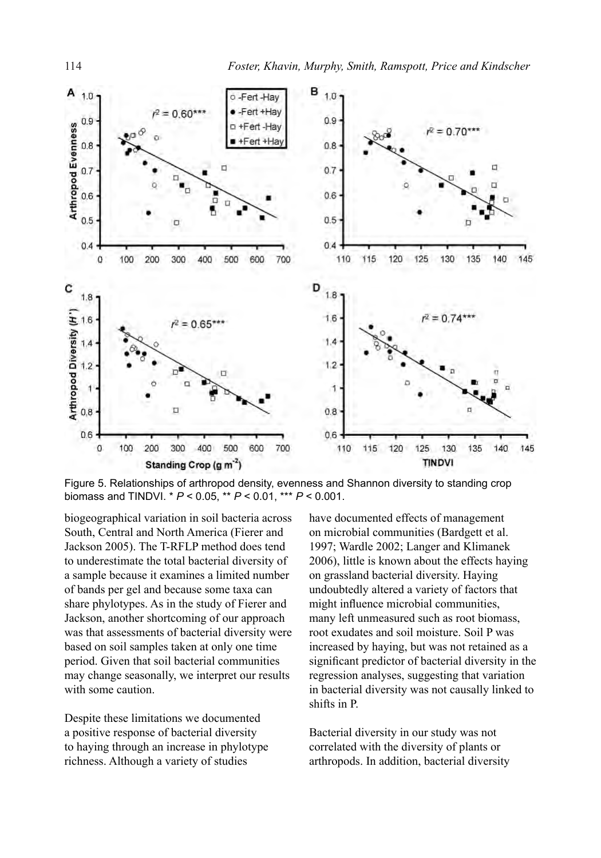

Figure 5. Relationships of arthropod density, evenness and Shannon diversity to standing crop biomass and TINDVI. \* *P* < 0.05, \*\* *P* < 0.01, \*\*\* *P* < 0.001.

biogeographical variation in soil bacteria across South, Central and North America (Fierer and Jackson 2005). The T-RFLP method does tend to underestimate the total bacterial diversity of a sample because it examines a limited number of bands per gel and because some taxa can share phylotypes. As in the study of Fierer and Jackson, another shortcoming of our approach was that assessments of bacterial diversity were based on soil samples taken at only one time period. Given that soil bacterial communities may change seasonally, we interpret our results with some caution.

Despite these limitations we documented a positive response of bacterial diversity to haying through an increase in phylotype richness. Although a variety of studies

have documented effects of management on microbial communities (Bardgett et al. 1997; Wardle 2002; Langer and Klimanek 2006), little is known about the effects haying on grassland bacterial diversity. Haying undoubtedly altered a variety of factors that might influence microbial communities, many left unmeasured such as root biomass, root exudates and soil moisture. Soil P was increased by haying, but was not retained as a significant predictor of bacterial diversity in the regression analyses, suggesting that variation in bacterial diversity was not causally linked to shifts in P.

Bacterial diversity in our study was not correlated with the diversity of plants or arthropods. In addition, bacterial diversity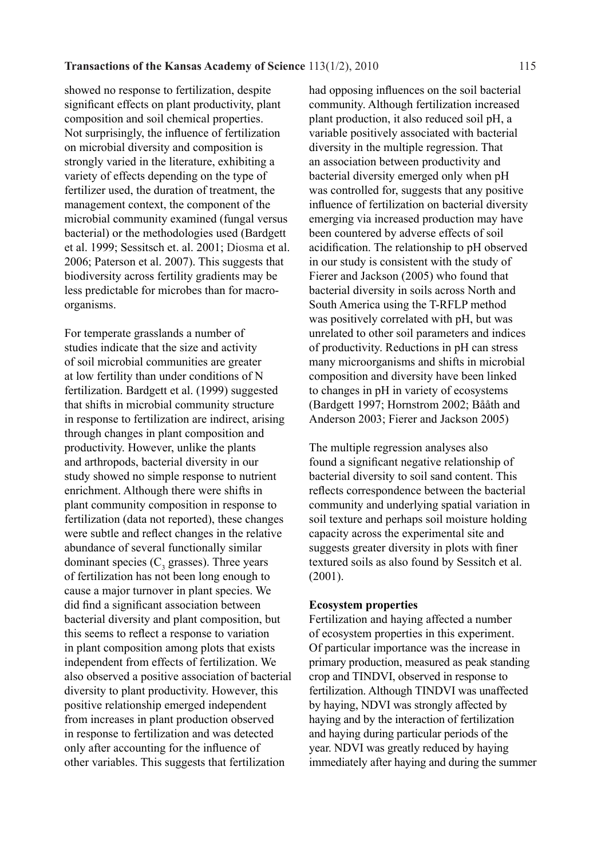showed no response to fertilization, despite significant effects on plant productivity, plant composition and soil chemical properties. Not surprisingly, the influence of fertilization on microbial diversity and composition is strongly varied in the literature, exhibiting a variety of effects depending on the type of fertilizer used, the duration of treatment, the management context, the component of the microbial community examined (fungal versus bacterial) or the methodologies used (Bardgett et al. 1999; Sessitsch et. al. 2001; Diosma et al. 2006; Paterson et al. 2007). This suggests that biodiversity across fertility gradients may be less predictable for microbes than for macroorganisms.

For temperate grasslands a number of studies indicate that the size and activity of soil microbial communities are greater at low fertility than under conditions of N fertilization. Bardgett et al. (1999) suggested that shifts in microbial community structure in response to fertilization are indirect, arising through changes in plant composition and productivity. However, unlike the plants and arthropods, bacterial diversity in our study showed no simple response to nutrient enrichment. Although there were shifts in plant community composition in response to fertilization (data not reported), these changes were subtle and reflect changes in the relative abundance of several functionally similar dominant species  $(C_3$  grasses). Three years of fertilization has not been long enough to cause a major turnover in plant species. We did find a significant association between bacterial diversity and plant composition, but this seems to reflect a response to variation in plant composition among plots that exists independent from effects of fertilization. We also observed a positive association of bacterial diversity to plant productivity. However, this positive relationship emerged independent from increases in plant production observed in response to fertilization and was detected only after accounting for the influence of other variables. This suggests that fertilization

had opposing influences on the soil bacterial community. Although fertilization increased plant production, it also reduced soil pH, a variable positively associated with bacterial diversity in the multiple regression. That an association between productivity and bacterial diversity emerged only when pH was controlled for, suggests that any positive influence of fertilization on bacterial diversity emerging via increased production may have been countered by adverse effects of soil acidification. The relationship to pH observed in our study is consistent with the study of Fierer and Jackson (2005) who found that bacterial diversity in soils across North and South America using the T-RFLP method was positively correlated with pH, but was unrelated to other soil parameters and indices of productivity. Reductions in pH can stress many microorganisms and shifts in microbial composition and diversity have been linked to changes in pH in variety of ecosystems (Bardgett 1997; Hornstrom 2002; Bååth and Anderson 2003; Fierer and Jackson 2005)

The multiple regression analyses also found a significant negative relationship of bacterial diversity to soil sand content. This reflects correspondence between the bacterial community and underlying spatial variation in soil texture and perhaps soil moisture holding capacity across the experimental site and suggests greater diversity in plots with finer textured soils as also found by Sessitch et al. (2001).

#### **Ecosystem properties**

Fertilization and haying affected a number of ecosystem properties in this experiment. Of particular importance was the increase in primary production, measured as peak standing crop and TINDVI, observed in response to fertilization. Although TINDVI was unaffected by haying, NDVI was strongly affected by haying and by the interaction of fertilization and haying during particular periods of the year. NDVI was greatly reduced by haying immediately after haying and during the summer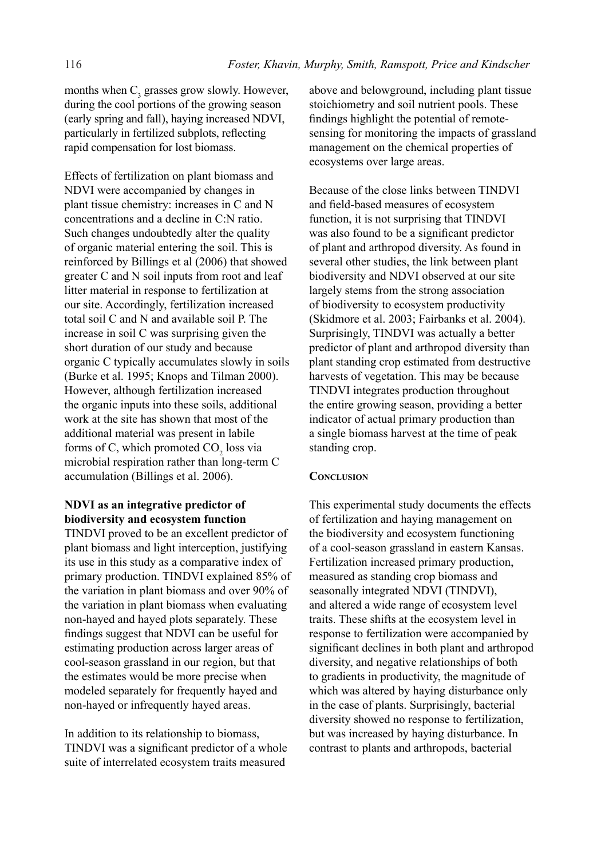months when  $C_3$  grasses grow slowly. However, during the cool portions of the growing season (early spring and fall), haying increased NDVI, particularly in fertilized subplots, reflecting rapid compensation for lost biomass.

Effects of fertilization on plant biomass and NDVI were accompanied by changes in plant tissue chemistry: increases in C and N concentrations and a decline in C:N ratio. Such changes undoubtedly alter the quality of organic material entering the soil. This is reinforced by Billings et al (2006) that showed greater C and N soil inputs from root and leaf litter material in response to fertilization at our site. Accordingly, fertilization increased total soil C and N and available soil P. The increase in soil C was surprising given the short duration of our study and because organic C typically accumulates slowly in soils (Burke et al. 1995; Knops and Tilman 2000). However, although fertilization increased the organic inputs into these soils, additional work at the site has shown that most of the additional material was present in labile forms of C, which promoted  $CO<sub>2</sub>$  loss via microbial respiration rather than long-term C accumulation (Billings et al. 2006).

## **NDVI as an integrative predictor of biodiversity and ecosystem function**

TINDVI proved to be an excellent predictor of plant biomass and light interception, justifying its use in this study as a comparative index of primary production. TINDVI explained 85% of the variation in plant biomass and over 90% of the variation in plant biomass when evaluating non-hayed and hayed plots separately. These findings suggest that NDVI can be useful for estimating production across larger areas of cool-season grassland in our region, but that the estimates would be more precise when modeled separately for frequently hayed and non-hayed or infrequently hayed areas.

In addition to its relationship to biomass, TINDVI was a significant predictor of a whole suite of interrelated ecosystem traits measured

above and belowground, including plant tissue stoichiometry and soil nutrient pools. These findings highlight the potential of remotesensing for monitoring the impacts of grassland management on the chemical properties of ecosystems over large areas.

Because of the close links between TINDVI and field-based measures of ecosystem function, it is not surprising that TINDVI was also found to be a significant predictor of plant and arthropod diversity. As found in several other studies, the link between plant biodiversity and NDVI observed at our site largely stems from the strong association of biodiversity to ecosystem productivity (Skidmore et al. 2003; Fairbanks et al. 2004). Surprisingly, TINDVI was actually a better predictor of plant and arthropod diversity than plant standing crop estimated from destructive harvests of vegetation. This may be because TINDVI integrates production throughout the entire growing season, providing a better indicator of actual primary production than a single biomass harvest at the time of peak standing crop.

## **CONCLUSION**

This experimental study documents the effects of fertilization and haying management on the biodiversity and ecosystem functioning of a cool-season grassland in eastern Kansas. Fertilization increased primary production, measured as standing crop biomass and seasonally integrated NDVI (TINDVI), and altered a wide range of ecosystem level traits. These shifts at the ecosystem level in response to fertilization were accompanied by significant declines in both plant and arthropod diversity, and negative relationships of both to gradients in productivity, the magnitude of which was altered by haying disturbance only in the case of plants. Surprisingly, bacterial diversity showed no response to fertilization, but was increased by haying disturbance. In contrast to plants and arthropods, bacterial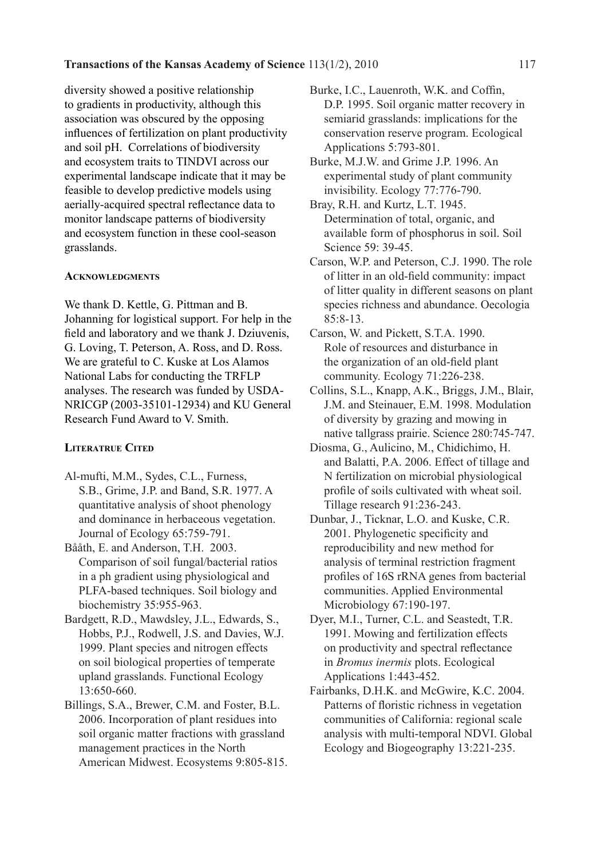diversity showed a positive relationship to gradients in productivity, although this association was obscured by the opposing influences of fertilization on plant productivity and soil pH. Correlations of biodiversity and ecosystem traits to TINDVI across our experimental landscape indicate that it may be feasible to develop predictive models using aerially-acquired spectral reflectance data to monitor landscape patterns of biodiversity and ecosystem function in these cool-season grasslands.

#### **Acknowledgments**

We thank D. Kettle, G. Pittman and B. Johanning for logistical support. For help in the field and laboratory and we thank J. Dziuvenis, G. Loving, T. Peterson, A. Ross, and D. Ross. We are grateful to C. Kuske at Los Alamos National Labs for conducting the TRFLP analyses. The research was funded by USDA-NRICGP (2003-35101-12934) and KU General Research Fund Award to V. Smith.

## **Literatrue Cited**

- Al-mufti, M.M., Sydes, C.L., Furness, S.B., Grime, J.P. and Band, S.R. 1977. A quantitative analysis of shoot phenology and dominance in herbaceous vegetation. Journal of Ecology 65:759-791.
- Bååth, E. and Anderson, T.H. 2003. Comparison of soil fungal/bacterial ratios in a ph gradient using physiological and PLFA-based techniques. Soil biology and biochemistry 35:955-963.
- Bardgett, R.D., Mawdsley, J.L., Edwards, S., Hobbs, P.J., Rodwell, J.S. and Davies, W.J. 1999. Plant species and nitrogen effects on soil biological properties of temperate upland grasslands. Functional Ecology 13:650-660.
- Billings, S.A., Brewer, C.M. and Foster, B.L. 2006. Incorporation of plant residues into soil organic matter fractions with grassland management practices in the North American Midwest. Ecosystems 9:805-815.
- Burke, I.C., Lauenroth, W.K. and Coffin, D.P. 1995. Soil organic matter recovery in semiarid grasslands: implications for the conservation reserve program. Ecological Applications 5:793-801.
- Burke, M.J.W. and Grime J.P. 1996. An experimental study of plant community invisibility. Ecology 77:776-790.
- Bray, R.H. and Kurtz, L.T. 1945. Determination of total, organic, and available form of phosphorus in soil. Soil Science 59: 39-45.
- Carson, W.P. and Peterson, C.J. 1990. The role of litter in an old-field community: impact of litter quality in different seasons on plant species richness and abundance. Oecologia 85:8-13.
- Carson, W. and Pickett, S.T.A. 1990. Role of resources and disturbance in the organization of an old-field plant community. Ecology 71:226-238.
- Collins, S.L., Knapp, A.K., Briggs, J.M., Blair, J.M. and Steinauer, E.M. 1998. Modulation of diversity by grazing and mowing in native tallgrass prairie. Science 280:745-747.
- Diosma, G., Aulicino, M., Chidichimo, H. and Balatti, P.A. 2006. Effect of tillage and N fertilization on microbial physiological profile of soils cultivated with wheat soil. Tillage research 91:236-243.
- Dunbar, J., Ticknar, L.O. and Kuske, C.R. 2001. Phylogenetic specificity and reproducibility and new method for analysis of terminal restriction fragment profiles of 16S rRNA genes from bacterial communities. Applied Environmental Microbiology 67:190-197.
- Dyer, M.I., Turner, C.L. and Seastedt, T.R. 1991. Mowing and fertilization effects on productivity and spectral reflectance in *Bromus inermis* plots. Ecological Applications 1:443-452.
- Fairbanks, D.H.K. and McGwire, K.C. 2004. Patterns of floristic richness in vegetation communities of California: regional scale analysis with multi-temporal NDVI. Global Ecology and Biogeography 13:221-235.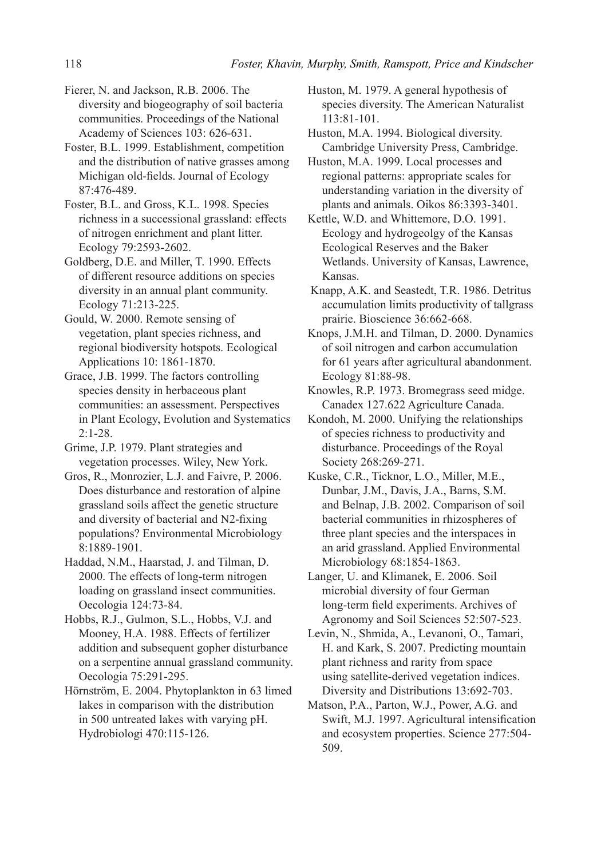Fierer, N. and Jackson, R.B. 2006. The diversity and biogeography of soil bacteria communities. Proceedings of the National Academy of Sciences 103: 626-631.

Foster, B.L. 1999. Establishment, competition and the distribution of native grasses among Michigan old-fields. Journal of Ecology 87:476-489.

Foster, B.L. and Gross, K.L. 1998. Species richness in a successional grassland: effects of nitrogen enrichment and plant litter. Ecology 79:2593-2602.

Goldberg, D.E. and Miller, T. 1990. Effects of different resource additions on species diversity in an annual plant community. Ecology 71:213-225.

Gould, W. 2000. Remote sensing of vegetation, plant species richness, and regional biodiversity hotspots. Ecological Applications 10: 1861-1870.

Grace, J.B. 1999. The factors controlling species density in herbaceous plant communities: an assessment. Perspectives in Plant Ecology, Evolution and Systematics 2:1-28.

Grime, J.P. 1979. Plant strategies and vegetation processes. Wiley, New York.

Gros, R., Monrozier, L.J. and Faivre, P. 2006. Does disturbance and restoration of alpine grassland soils affect the genetic structure and diversity of bacterial and N2-fixing populations? Environmental Microbiology 8:1889-1901.

Haddad, N.M., Haarstad, J. and Tilman, D. 2000. The effects of long-term nitrogen loading on grassland insect communities. Oecologia 124:73-84.

Hobbs, R.J., Gulmon, S.L., Hobbs, V.J. and Mooney, H.A. 1988. Effects of fertilizer addition and subsequent gopher disturbance on a serpentine annual grassland community. Oecologia 75:291-295.

Hörnström, E. 2004. Phytoplankton in 63 limed lakes in comparison with the distribution in 500 untreated lakes with varying pH. Hydrobiologi 470:115-126.

Huston, M. 1979. A general hypothesis of species diversity. The American Naturalist 113:81-101.

Huston, M.A. 1994. Biological diversity. Cambridge University Press, Cambridge.

Huston, M.A. 1999. Local processes and regional patterns: appropriate scales for understanding variation in the diversity of plants and animals. Oikos 86:3393-3401.

Kettle, W.D. and Whittemore, D.O. 1991. Ecology and hydrogeolgy of the Kansas Ecological Reserves and the Baker Wetlands. University of Kansas, Lawrence, Kansas.

 Knapp, A.K. and Seastedt, T.R. 1986. Detritus accumulation limits productivity of tallgrass prairie. Bioscience 36:662-668.

Knops, J.M.H. and Tilman, D. 2000. Dynamics of soil nitrogen and carbon accumulation for 61 years after agricultural abandonment. Ecology 81:88-98.

Knowles, R.P. 1973. Bromegrass seed midge. Canadex 127.622 Agriculture Canada.

Kondoh, M. 2000. Unifying the relationships of species richness to productivity and disturbance. Proceedings of the Royal Society 268:269-271.

Kuske, C.R., Ticknor, L.O., Miller, M.E., Dunbar, J.M., Davis, J.A., Barns, S.M. and Belnap, J.B. 2002. Comparison of soil bacterial communities in rhizospheres of three plant species and the interspaces in an arid grassland. Applied Environmental Microbiology 68:1854-1863.

Langer, U. and Klimanek, E. 2006. Soil microbial diversity of four German long-term field experiments. Archives of Agronomy and Soil Sciences 52:507-523.

Levin, N., Shmida, A., Levanoni, O., Tamari, H. and Kark, S. 2007. Predicting mountain plant richness and rarity from space using satellite-derived vegetation indices. Diversity and Distributions 13:692-703.

Matson, P.A., Parton, W.J., Power, A.G. and Swift, M.J. 1997. Agricultural intensification and ecosystem properties. Science 277:504- 509.